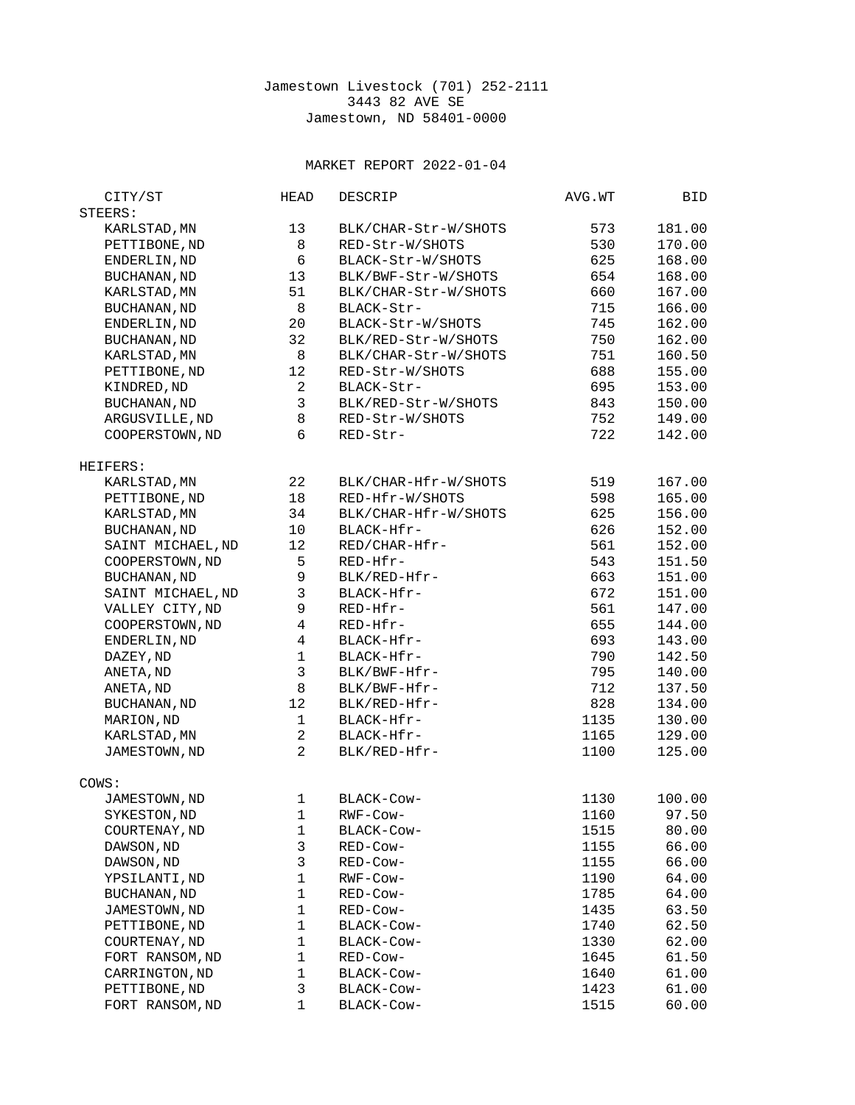## Jamestown Livestock (701) 252-2111 3443 82 AVE SE Jamestown, ND 58401-0000

## MARKET REPORT 2022-01-04

| CITY/ST                             | <b>HEAD</b>              | <b>DESCRIP</b>       | AVG.WT | BID    |
|-------------------------------------|--------------------------|----------------------|--------|--------|
| STEERS:                             |                          |                      |        |        |
| KARLSTAD, MN                        | 13                       | BLK/CHAR-Str-W/SHOTS | 573    | 181.00 |
| PETTIBONE, ND                       | 8                        | RED-Str-W/SHOTS      | 530    | 170.00 |
| ENDERLIN, ND                        | 6                        | BLACK-Str-W/SHOTS    | 625    | 168.00 |
| <b>BUCHANAN, ND</b>                 | 13                       | BLK/BWF-Str-W/SHOTS  | 654    | 168.00 |
| KARLSTAD, MN                        | 51                       | BLK/CHAR-Str-W/SHOTS | 660    | 167.00 |
| <b>BUCHANAN, ND</b>                 | 8                        | BLACK-Str-           | 715    | 166.00 |
| ENDERLIN, ND                        | 20                       | BLACK-Str-W/SHOTS    | 745    | 162.00 |
|                                     | 32                       | BLK/RED-Str-W/SHOTS  | 750    | 162.00 |
| <b>BUCHANAN, ND</b><br>KARLSTAD, MN | 8                        |                      | 751    |        |
|                                     |                          | BLK/CHAR-Str-W/SHOTS |        | 160.50 |
| PETTIBONE, ND                       | 12                       | RED-Str-W/SHOTS      | 688    | 155.00 |
| KINDRED, ND                         | $\overline{2}$           | BLACK-Str-           | 695    | 153.00 |
| <b>BUCHANAN, ND</b>                 | 3                        | BLK/RED-Str-W/SHOTS  | 843    | 150.00 |
| ARGUSVILLE, ND                      | 8                        | RED-Str-W/SHOTS      | 752    | 149.00 |
| COOPERSTOWN, ND                     | 6                        | RED-Str-             | 722    | 142.00 |
| HEIFERS:                            |                          |                      |        |        |
| KARLSTAD, MN                        | 22                       | BLK/CHAR-Hfr-W/SHOTS | 519    | 167.00 |
| PETTIBONE, ND                       | 18                       | RED-Hfr-W/SHOTS      | 598    | 165.00 |
| KARLSTAD, MN                        | 34                       | BLK/CHAR-Hfr-W/SHOTS | 625    | 156.00 |
| <b>BUCHANAN, ND</b>                 | 10                       | BLACK-Hfr-           | 626    | 152.00 |
| SAINT MICHAEL, ND                   | 12                       | RED/CHAR-Hfr-        | 561    | 152.00 |
| COOPERSTOWN, ND                     | 5                        | RED-Hfr-             | 543    | 151.50 |
| <b>BUCHANAN, ND</b>                 | 9                        | BLK/RED-Hfr-         | 663    | 151.00 |
| SAINT MICHAEL, ND                   | 3                        | BLACK-Hfr-           | 672    | 151.00 |
| VALLEY CITY, ND                     | 9                        | RED-Hfr-             | 561    | 147.00 |
| COOPERSTOWN, ND                     | $\overline{\mathbf{4}}$  | RED-Hfr-             | 655    | 144.00 |
| ENDERLIN, ND                        | $\overline{\mathcal{L}}$ | BLACK-Hfr-           | 693    | 143.00 |
| DAZEY, ND                           | $\mathbf{1}$             | BLACK-Hfr-           | 790    | 142.50 |
| ANETA, ND                           | 3                        | BLK/BWF-Hfr-         | 795    | 140.00 |
| ANETA, ND                           | 8                        | BLK/BWF-Hfr-         | 712    | 137.50 |
| <b>BUCHANAN, ND</b>                 | 12                       | BLK/RED-Hfr-         | 828    | 134.00 |
| MARION, ND                          | $\mathbf{1}$             | BLACK-Hfr-           | 1135   | 130.00 |
| KARLSTAD, MN                        | $\overline{c}$           |                      |        | 129.00 |
|                                     | $\overline{2}$           | BLACK-Hfr-           | 1165   |        |
| JAMESTOWN, ND                       |                          | BLK/RED-Hfr-         | 1100   | 125.00 |
| COWS:                               |                          |                      |        |        |
| JAMESTOWN, ND                       | $\mathbf 1$              | BLACK-Cow-           | 1130   | 100.00 |
| SYKESTON, ND                        | $\mathbf{1}$             | RWF-Cow-             | 1160   | 97.50  |
| COURTENAY, ND                       | 1                        | BLACK-Cow-           | 1515   | 80.00  |
| DAWSON, ND                          | 3                        | RED-Cow-             | 1155   | 66.00  |
| DAWSON, ND                          | 3                        | RED-Cow-             | 1155   | 66.00  |
| YPSILANTI, ND                       | $\mathbf{1}$             | RWF-Cow-             | 1190   | 64.00  |
| <b>BUCHANAN, ND</b>                 | $\mathbf{1}$             | RED-Cow-             | 1785   | 64.00  |
| JAMESTOWN, ND                       | $\mathbf 1$              | RED-Cow-             | 1435   | 63.50  |
| PETTIBONE, ND                       | $\mathbf 1$              | BLACK-Cow-           | 1740   | 62.50  |
| COURTENAY, ND                       | $\mathbf 1$              | BLACK-Cow-           | 1330   | 62.00  |
| FORT RANSOM, ND                     | 1                        | RED-Cow-             | 1645   | 61.50  |
| CARRINGTON, ND                      | 1                        | BLACK-Cow-           | 1640   | 61.00  |
| PETTIBONE, ND                       | 3                        | BLACK-Cow-           | 1423   | 61.00  |
| FORT RANSOM, ND                     | 1                        | BLACK-Cow-           | 1515   | 60.00  |